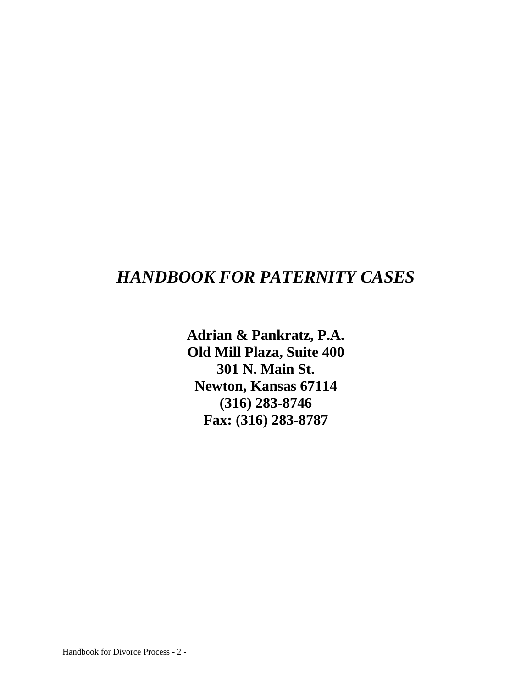# *HANDBOOK FOR PATERNITY CASES*

**Adrian & Pankratz, P.A. Old Mill Plaza, Suite 400 301 N. Main St. Newton, Kansas 67114 (316) 283-8746 Fax: (316) 283-8787**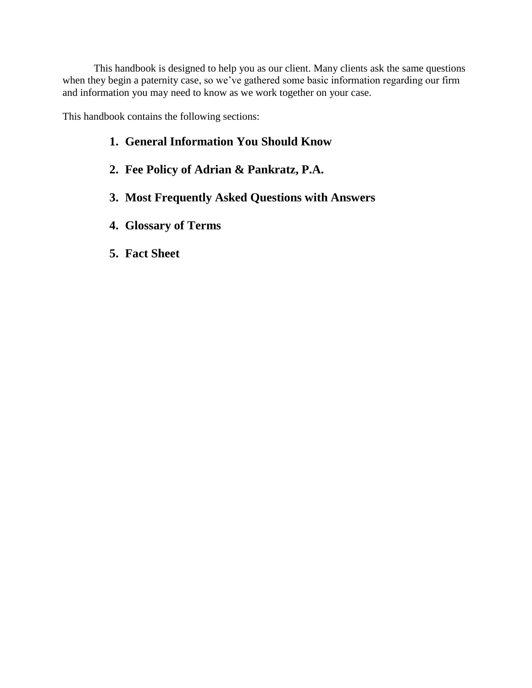This handbook is designed to help you as our client. Many clients ask the same questions when they begin a paternity case, so we've gathered some basic information regarding our firm and information you may need to know as we work together on your case.

This handbook contains the following sections:

- **1. General Information You Should Know**
- **2. Fee Policy of Adrian & Pankratz, P.A.**
- **3. Most Frequently Asked Questions with Answers**
- **4. Glossary of Terms**
- **5. Fact Sheet**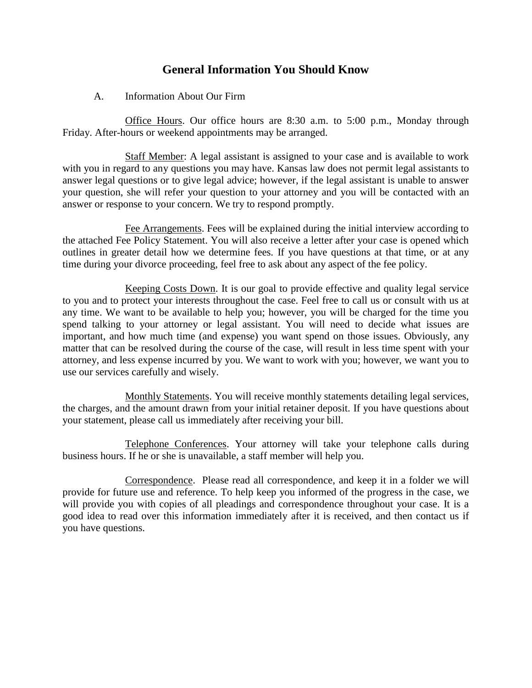# **General Information You Should Know**

# A. Information About Our Firm

Office Hours. Our office hours are 8:30 a.m. to 5:00 p.m., Monday through Friday. After-hours or weekend appointments may be arranged.

Staff Member: A legal assistant is assigned to your case and is available to work with you in regard to any questions you may have. Kansas law does not permit legal assistants to answer legal questions or to give legal advice; however, if the legal assistant is unable to answer your question, she will refer your question to your attorney and you will be contacted with an answer or response to your concern. We try to respond promptly.

Fee Arrangements. Fees will be explained during the initial interview according to the attached Fee Policy Statement. You will also receive a letter after your case is opened which outlines in greater detail how we determine fees. If you have questions at that time, or at any time during your divorce proceeding, feel free to ask about any aspect of the fee policy.

Keeping Costs Down. It is our goal to provide effective and quality legal service to you and to protect your interests throughout the case. Feel free to call us or consult with us at any time. We want to be available to help you; however, you will be charged for the time you spend talking to your attorney or legal assistant. You will need to decide what issues are important, and how much time (and expense) you want spend on those issues. Obviously, any matter that can be resolved during the course of the case, will result in less time spent with your attorney, and less expense incurred by you. We want to work with you; however, we want you to use our services carefully and wisely.

Monthly Statements. You will receive monthly statements detailing legal services, the charges, and the amount drawn from your initial retainer deposit. If you have questions about your statement, please call us immediately after receiving your bill.

Telephone Conferences. Your attorney will take your telephone calls during business hours. If he or she is unavailable, a staff member will help you.

Correspondence. Please read all correspondence, and keep it in a folder we will provide for future use and reference. To help keep you informed of the progress in the case, we will provide you with copies of all pleadings and correspondence throughout your case. It is a good idea to read over this information immediately after it is received, and then contact us if you have questions.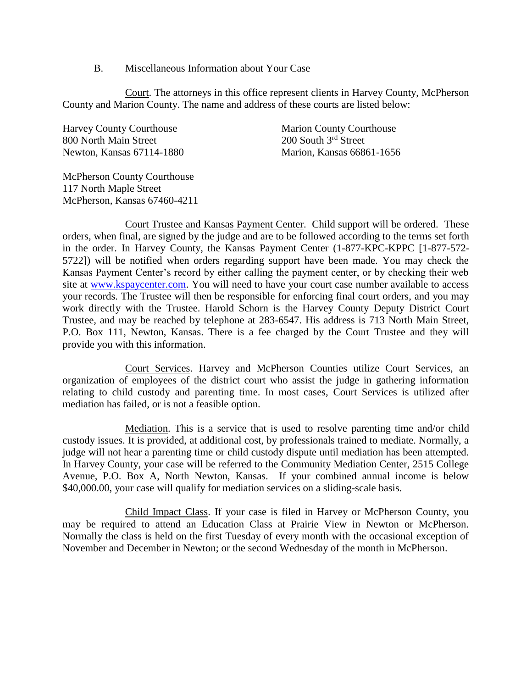#### B. Miscellaneous Information about Your Case

Court. The attorneys in this office represent clients in Harvey County, McPherson County and Marion County. The name and address of these courts are listed below:

Harvey County Courthouse Marion County Courthouse 800 North Main Street 200 South 3<sup>rd</sup> Street Newton, Kansas 67114-1880 Marion, Kansas 66861-1656

McPherson County Courthouse 117 North Maple Street McPherson, Kansas 67460-4211

Court Trustee and Kansas Payment Center. Child support will be ordered. These orders, when final, are signed by the judge and are to be followed according to the terms set forth in the order. In Harvey County, the Kansas Payment Center (1-877-KPC-KPPC [1-877-572- 5722]) will be notified when orders regarding support have been made. You may check the Kansas Payment Center's record by either calling the payment center, or by checking their web site at [www.kspaycenter.com.](http://www.kspaycenter.com/) You will need to have your court case number available to access your records. The Trustee will then be responsible for enforcing final court orders, and you may work directly with the Trustee. Harold Schorn is the Harvey County Deputy District Court Trustee, and may be reached by telephone at 283-6547. His address is 713 North Main Street, P.O. Box 111, Newton, Kansas. There is a fee charged by the Court Trustee and they will provide you with this information.

Court Services. Harvey and McPherson Counties utilize Court Services, an organization of employees of the district court who assist the judge in gathering information relating to child custody and parenting time. In most cases, Court Services is utilized after mediation has failed, or is not a feasible option.

Mediation. This is a service that is used to resolve parenting time and/or child custody issues. It is provided, at additional cost, by professionals trained to mediate. Normally, a judge will not hear a parenting time or child custody dispute until mediation has been attempted. In Harvey County, your case will be referred to the Community Mediation Center, 2515 College Avenue, P.O. Box A, North Newton, Kansas. If your combined annual income is below \$40,000.00, your case will qualify for mediation services on a sliding-scale basis.

Child Impact Class. If your case is filed in Harvey or McPherson County, you may be required to attend an Education Class at Prairie View in Newton or McPherson. Normally the class is held on the first Tuesday of every month with the occasional exception of November and December in Newton; or the second Wednesday of the month in McPherson.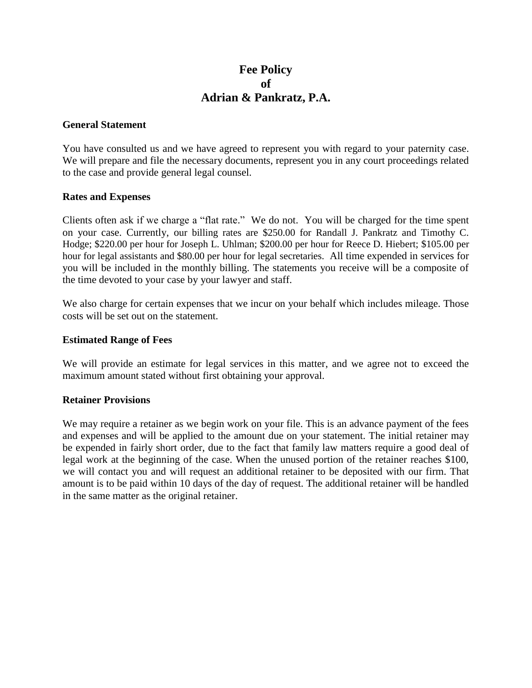# **Fee Policy of Adrian & Pankratz, P.A.**

## **General Statement**

You have consulted us and we have agreed to represent you with regard to your paternity case. We will prepare and file the necessary documents, represent you in any court proceedings related to the case and provide general legal counsel.

#### **Rates and Expenses**

Clients often ask if we charge a "flat rate." We do not. You will be charged for the time spent on your case. Currently, our billing rates are \$250.00 for Randall J. Pankratz and Timothy C. Hodge; \$220.00 per hour for Joseph L. Uhlman; \$200.00 per hour for Reece D. Hiebert; \$105.00 per hour for legal assistants and \$80.00 per hour for legal secretaries. All time expended in services for you will be included in the monthly billing. The statements you receive will be a composite of the time devoted to your case by your lawyer and staff.

We also charge for certain expenses that we incur on your behalf which includes mileage. Those costs will be set out on the statement.

#### **Estimated Range of Fees**

We will provide an estimate for legal services in this matter, and we agree not to exceed the maximum amount stated without first obtaining your approval.

## **Retainer Provisions**

We may require a retainer as we begin work on your file. This is an advance payment of the fees and expenses and will be applied to the amount due on your statement. The initial retainer may be expended in fairly short order, due to the fact that family law matters require a good deal of legal work at the beginning of the case. When the unused portion of the retainer reaches \$100, we will contact you and will request an additional retainer to be deposited with our firm. That amount is to be paid within 10 days of the day of request. The additional retainer will be handled in the same matter as the original retainer.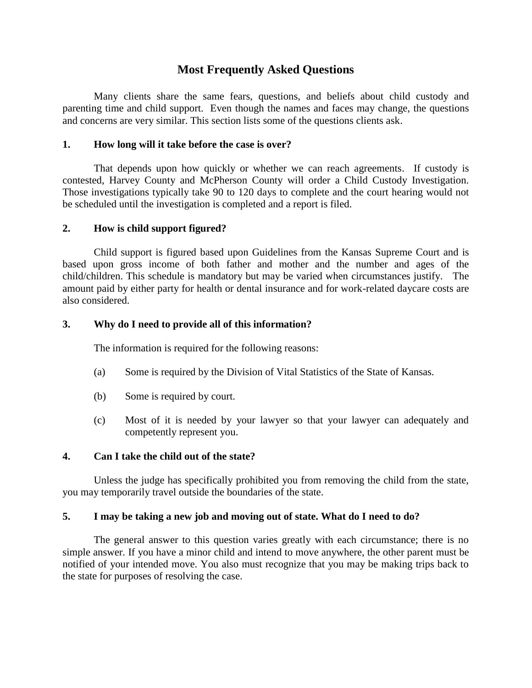# **Most Frequently Asked Questions**

Many clients share the same fears, questions, and beliefs about child custody and parenting time and child support. Even though the names and faces may change, the questions and concerns are very similar. This section lists some of the questions clients ask.

#### **1. How long will it take before the case is over?**

That depends upon how quickly or whether we can reach agreements. If custody is contested, Harvey County and McPherson County will order a Child Custody Investigation. Those investigations typically take 90 to 120 days to complete and the court hearing would not be scheduled until the investigation is completed and a report is filed.

#### **2. How is child support figured?**

Child support is figured based upon Guidelines from the Kansas Supreme Court and is based upon gross income of both father and mother and the number and ages of the child/children. This schedule is mandatory but may be varied when circumstances justify. The amount paid by either party for health or dental insurance and for work-related daycare costs are also considered.

#### **3. Why do I need to provide all of this information?**

The information is required for the following reasons:

- (a) Some is required by the Division of Vital Statistics of the State of Kansas.
- (b) Some is required by court.
- (c) Most of it is needed by your lawyer so that your lawyer can adequately and competently represent you.

## **4. Can I take the child out of the state?**

Unless the judge has specifically prohibited you from removing the child from the state, you may temporarily travel outside the boundaries of the state.

#### **5. I may be taking a new job and moving out of state. What do I need to do?**

The general answer to this question varies greatly with each circumstance; there is no simple answer. If you have a minor child and intend to move anywhere, the other parent must be notified of your intended move. You also must recognize that you may be making trips back to the state for purposes of resolving the case.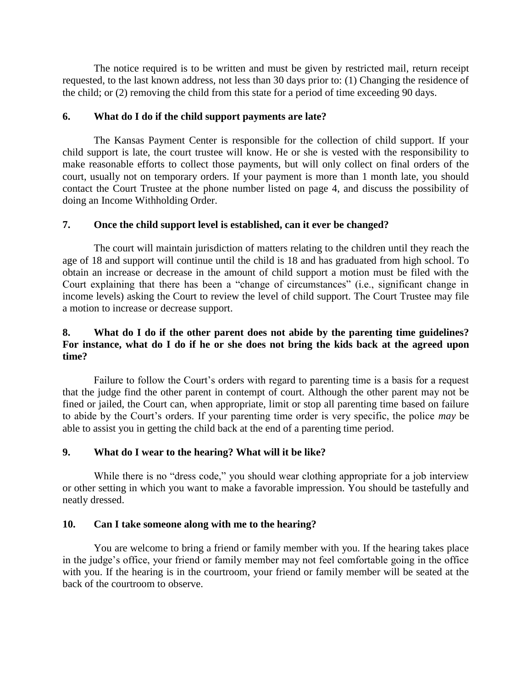The notice required is to be written and must be given by restricted mail, return receipt requested, to the last known address, not less than 30 days prior to: (1) Changing the residence of the child; or (2) removing the child from this state for a period of time exceeding 90 days.

# **6. What do I do if the child support payments are late?**

The Kansas Payment Center is responsible for the collection of child support. If your child support is late, the court trustee will know. He or she is vested with the responsibility to make reasonable efforts to collect those payments, but will only collect on final orders of the court, usually not on temporary orders. If your payment is more than 1 month late, you should contact the Court Trustee at the phone number listed on page 4, and discuss the possibility of doing an Income Withholding Order.

# **7. Once the child support level is established, can it ever be changed?**

The court will maintain jurisdiction of matters relating to the children until they reach the age of 18 and support will continue until the child is 18 and has graduated from high school. To obtain an increase or decrease in the amount of child support a motion must be filed with the Court explaining that there has been a "change of circumstances" (i.e., significant change in income levels) asking the Court to review the level of child support. The Court Trustee may file a motion to increase or decrease support.

# **8. What do I do if the other parent does not abide by the parenting time guidelines? For instance, what do I do if he or she does not bring the kids back at the agreed upon time?**

Failure to follow the Court's orders with regard to parenting time is a basis for a request that the judge find the other parent in contempt of court. Although the other parent may not be fined or jailed, the Court can, when appropriate, limit or stop all parenting time based on failure to abide by the Court's orders. If your parenting time order is very specific, the police *may* be able to assist you in getting the child back at the end of a parenting time period.

# **9. What do I wear to the hearing? What will it be like?**

While there is no "dress code," you should wear clothing appropriate for a job interview or other setting in which you want to make a favorable impression. You should be tastefully and neatly dressed.

## **10. Can I take someone along with me to the hearing?**

You are welcome to bring a friend or family member with you. If the hearing takes place in the judge's office, your friend or family member may not feel comfortable going in the office with you. If the hearing is in the courtroom, your friend or family member will be seated at the back of the courtroom to observe.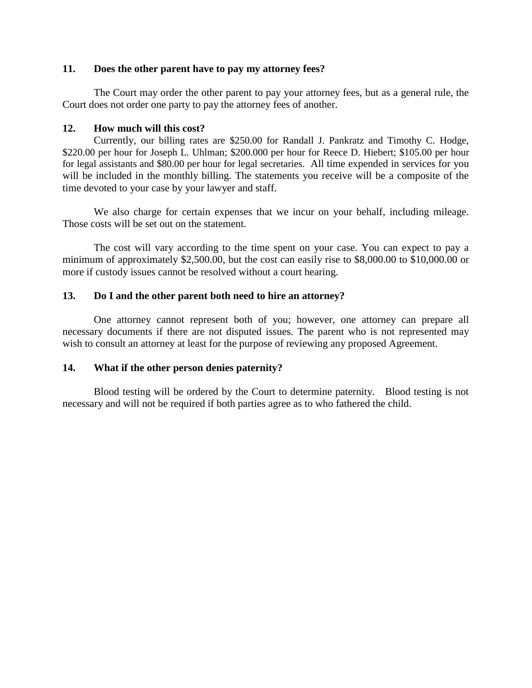#### **11. Does the other parent have to pay my attorney fees?**

The Court may order the other parent to pay your attorney fees, but as a general rule, the Court does not order one party to pay the attorney fees of another.

# **12. How much will this cost?**

Currently, our billing rates are \$250.00 for Randall J. Pankratz and Timothy C. Hodge, \$220.00 per hour for Joseph L. Uhlman; \$200.000 per hour for Reece D. Hiebert; \$105.00 per hour for legal assistants and \$80.00 per hour for legal secretaries. All time expended in services for you will be included in the monthly billing. The statements you receive will be a composite of the time devoted to your case by your lawyer and staff.

We also charge for certain expenses that we incur on your behalf, including mileage. Those costs will be set out on the statement.

The cost will vary according to the time spent on your case. You can expect to pay a minimum of approximately \$2,500.00, but the cost can easily rise to \$8,000.00 to \$10,000.00 or more if custody issues cannot be resolved without a court hearing.

# **13. Do I and the other parent both need to hire an attorney?**

One attorney cannot represent both of you; however, one attorney can prepare all necessary documents if there are not disputed issues. The parent who is not represented may wish to consult an attorney at least for the purpose of reviewing any proposed Agreement.

# **14. What if the other person denies paternity?**

Blood testing will be ordered by the Court to determine paternity. Blood testing is not necessary and will not be required if both parties agree as to who fathered the child.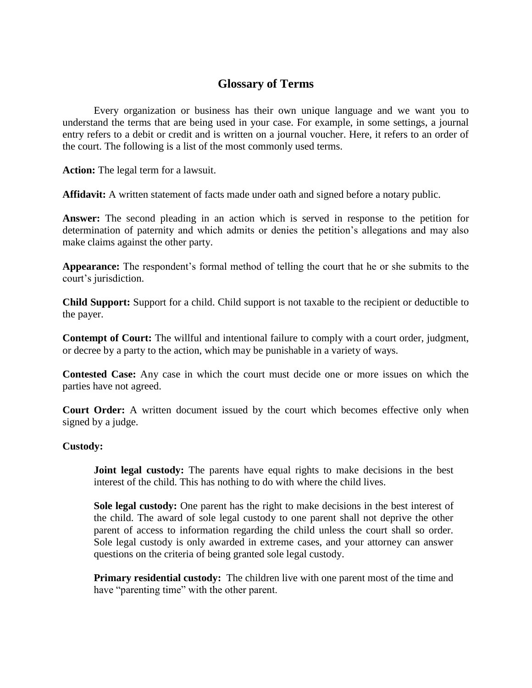# **Glossary of Terms**

Every organization or business has their own unique language and we want you to understand the terms that are being used in your case. For example, in some settings, a journal entry refers to a debit or credit and is written on a journal voucher. Here, it refers to an order of the court. The following is a list of the most commonly used terms.

**Action:** The legal term for a lawsuit.

**Affidavit:** A written statement of facts made under oath and signed before a notary public.

**Answer:** The second pleading in an action which is served in response to the petition for determination of paternity and which admits or denies the petition's allegations and may also make claims against the other party.

**Appearance:** The respondent's formal method of telling the court that he or she submits to the court's jurisdiction.

**Child Support:** Support for a child. Child support is not taxable to the recipient or deductible to the payer.

**Contempt of Court:** The willful and intentional failure to comply with a court order, judgment, or decree by a party to the action, which may be punishable in a variety of ways.

**Contested Case:** Any case in which the court must decide one or more issues on which the parties have not agreed.

**Court Order:** A written document issued by the court which becomes effective only when signed by a judge.

## **Custody:**

**Joint legal custody:** The parents have equal rights to make decisions in the best interest of the child. This has nothing to do with where the child lives.

**Sole legal custody:** One parent has the right to make decisions in the best interest of the child. The award of sole legal custody to one parent shall not deprive the other parent of access to information regarding the child unless the court shall so order. Sole legal custody is only awarded in extreme cases, and your attorney can answer questions on the criteria of being granted sole legal custody.

**Primary residential custody:** The children live with one parent most of the time and have "parenting time" with the other parent.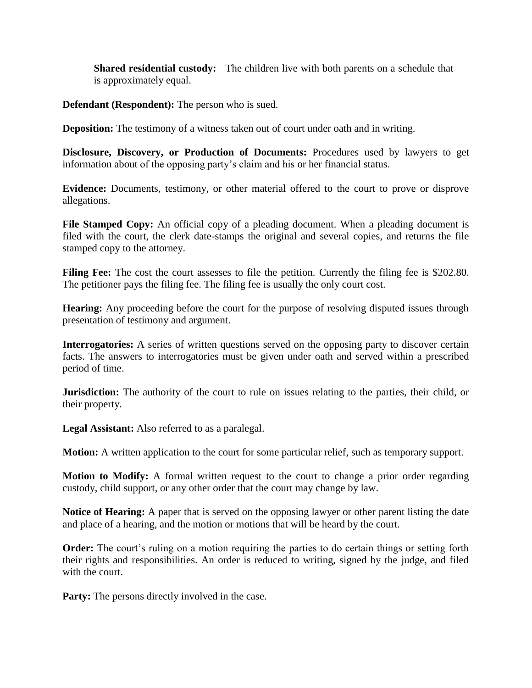**Shared residential custody:** The children live with both parents on a schedule that is approximately equal.

**Defendant (Respondent):** The person who is sued.

**Deposition:** The testimony of a witness taken out of court under oath and in writing.

**Disclosure, Discovery, or Production of Documents:** Procedures used by lawyers to get information about of the opposing party's claim and his or her financial status.

**Evidence:** Documents, testimony, or other material offered to the court to prove or disprove allegations.

File Stamped Copy: An official copy of a pleading document. When a pleading document is filed with the court, the clerk date-stamps the original and several copies, and returns the file stamped copy to the attorney.

Filing Fee: The cost the court assesses to file the petition. Currently the filing fee is \$202.80. The petitioner pays the filing fee. The filing fee is usually the only court cost.

**Hearing:** Any proceeding before the court for the purpose of resolving disputed issues through presentation of testimony and argument.

**Interrogatories:** A series of written questions served on the opposing party to discover certain facts. The answers to interrogatories must be given under oath and served within a prescribed period of time.

**Jurisdiction:** The authority of the court to rule on issues relating to the parties, their child, or their property.

**Legal Assistant:** Also referred to as a paralegal.

**Motion:** A written application to the court for some particular relief, such as temporary support.

**Motion to Modify:** A formal written request to the court to change a prior order regarding custody, child support, or any other order that the court may change by law.

**Notice of Hearing:** A paper that is served on the opposing lawyer or other parent listing the date and place of a hearing, and the motion or motions that will be heard by the court.

**Order:** The court's ruling on a motion requiring the parties to do certain things or setting forth their rights and responsibilities. An order is reduced to writing, signed by the judge, and filed with the court.

**Party:** The persons directly involved in the case.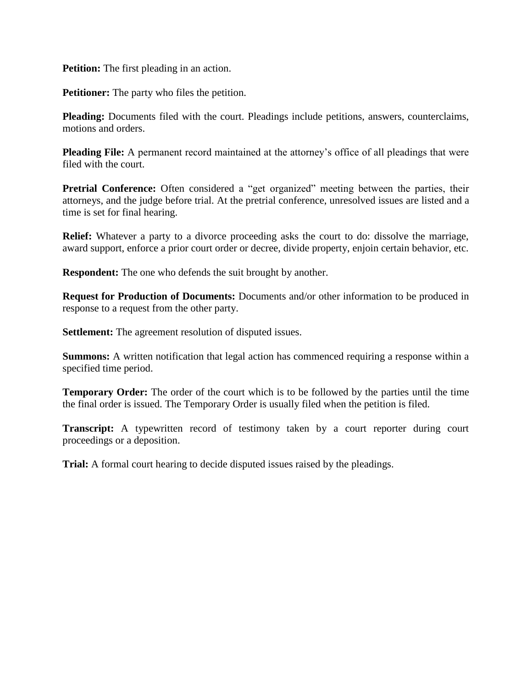**Petition:** The first pleading in an action.

**Petitioner:** The party who files the petition.

**Pleading:** Documents filed with the court. Pleadings include petitions, answers, counterclaims, motions and orders.

**Pleading File:** A permanent record maintained at the attorney's office of all pleadings that were filed with the court.

**Pretrial Conference:** Often considered a "get organized" meeting between the parties, their attorneys, and the judge before trial. At the pretrial conference, unresolved issues are listed and a time is set for final hearing.

**Relief:** Whatever a party to a divorce proceeding asks the court to do: dissolve the marriage, award support, enforce a prior court order or decree, divide property, enjoin certain behavior, etc.

**Respondent:** The one who defends the suit brought by another.

**Request for Production of Documents:** Documents and/or other information to be produced in response to a request from the other party.

**Settlement:** The agreement resolution of disputed issues.

**Summons:** A written notification that legal action has commenced requiring a response within a specified time period.

**Temporary Order:** The order of the court which is to be followed by the parties until the time the final order is issued. The Temporary Order is usually filed when the petition is filed.

**Transcript:** A typewritten record of testimony taken by a court reporter during court proceedings or a deposition.

**Trial:** A formal court hearing to decide disputed issues raised by the pleadings.